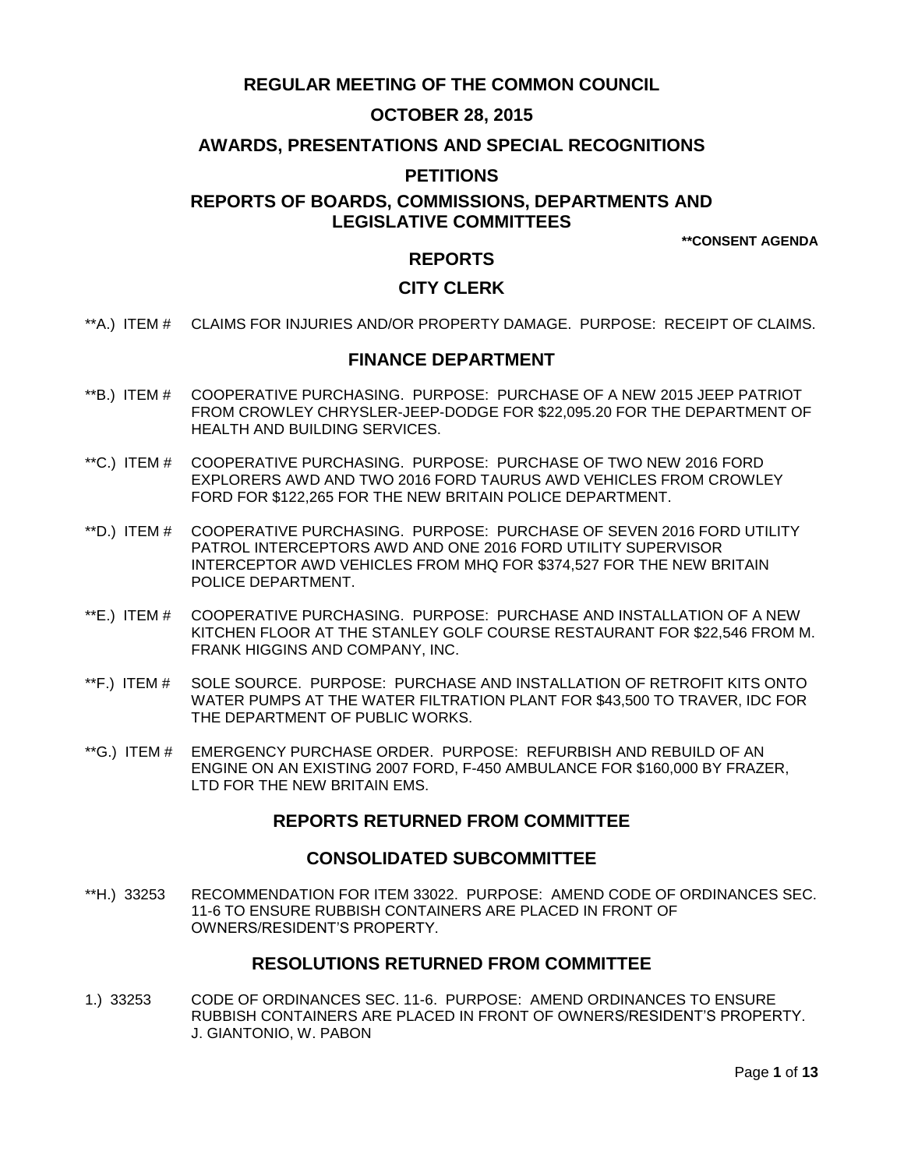# **REGULAR MEETING OF THE COMMON COUNCIL**

# **OCTOBER 28, 2015**

# **AWARDS, PRESENTATIONS AND SPECIAL RECOGNITIONS**

# **PETITIONS**

# **REPORTS OF BOARDS, COMMISSIONS, DEPARTMENTS AND LEGISLATIVE COMMITTEES**

**\*\*CONSENT AGENDA**

## **REPORTS**

# **CITY CLERK**

\*\*A.) ITEM # [CLAIMS FOR INJURIES AND/OR PROPERTY DAMAGE. PURPOSE: RECEIPT OF CLAIMS.](#page-2-0)

# **FINANCE DEPARTMENT**

- \*\*B.) ITEM # [COOPERATIVE PURCHASING. PURPOSE: PURCHASE OF A NEW 2015 JEEP PATRIOT](#page-2-1)  [FROM CROWLEY CHRYSLER-JEEP-DODGE FOR \\$22,095.20 FOR](#page-2-1) THE DEPARTMENT OF [HEALTH AND BUILDING SERVICES.](#page-2-1)
- \*\*C.) ITEM # [COOPERATIVE PURCHASING. PURPOSE: PURCHASE](#page-3-0) OF TWO NEW 2016 FORD [EXPLORERS AWD AND TWO 2016 FORD TAURUS AWD VEHICLES FROM CROWLEY](#page-3-0)  [FORD FOR \\$122,265 FOR THE NEW BRITAIN POLICE DEPARTMENT.](#page-3-0)
- \*\*D.) ITEM # [COOPERATIVE PURCHASING. PURPOSE: PURCHASE OF SEVEN 2016 FORD UTILITY](#page-3-1)  [PATROL INTERCEPTORS AWD AND ONE 2016 FORD UTILITY SUPERVISOR](#page-3-1)  [INTERCEPTOR AWD VEHICLES FROM MHQ FOR \\$374,527 FOR THE NEW BRITAIN](#page-3-1)  [POLICE DEPARTMENT.](#page-3-1)
- \*\*E.) ITEM # COOPERATIVE [PURCHASING. PURPOSE: PURCHASE AND INSTALLATION OF A NEW](#page-4-0)  [KITCHEN FLOOR AT THE STANLEY GOLF COURSE RESTAURANT FOR \\$22,546 FROM M.](#page-4-0)  [FRANK HIGGINS AND COMPANY, INC.](#page-4-0)
- \*\*F.) ITEM # [SOLE SOURCE. PURPOSE: PURCHASE AND INSTALLATION OF RETROFIT KITS ONTO](#page-5-0)  [WATER PUMPS AT THE WATER FILTRATION PLANT FOR \\$43,500 TO TRAVER, IDC FOR](#page-5-0)  [THE DEPARTMENT OF PUBLIC WORKS.](#page-5-0)
- \*\*G.) ITEM # [EMERGENCY PURCHASE ORDER. PURPOSE: REFURBISH AND REBUILD OF AN](#page-6-0)  [ENGINE ON AN EXISTING 2007 FORD, F-450 AMBULANCE FOR \\$160,000 BY FRAZER,](#page-6-0)  LTD FOR THE [NEW BRITAIN EMS.](#page-6-0)

# **REPORTS RETURNED FROM COMMITTEE**

## **CONSOLIDATED SUBCOMMITTEE**

\*\*H.) 33253 [RECOMMENDATION FOR ITEM 33022. PURPOSE: AMEND CODE OF ORDINANCES SEC.](#page-6-1)  [11-6 TO ENSURE RUBBISH CONTAINERS ARE PLACED IN FRONT OF](#page-6-1)  [OWNERS/RESIDENT'S PROPERTY.](#page-6-1)

## **RESOLUTIONS RETURNED FROM COMMITTEE**

1.) 33253 [CODE OF ORDINANCES SEC. 11-6. PURPOSE: AMEND ORDINANCES TO ENSURE](#page-7-0)  [RUBBISH CONTAINERS ARE PLACED IN FRONT OF OWNERS/RESIDENT'S PROPERTY.](#page-7-0) [J. GIANTONIO, W. PABON](#page-7-0)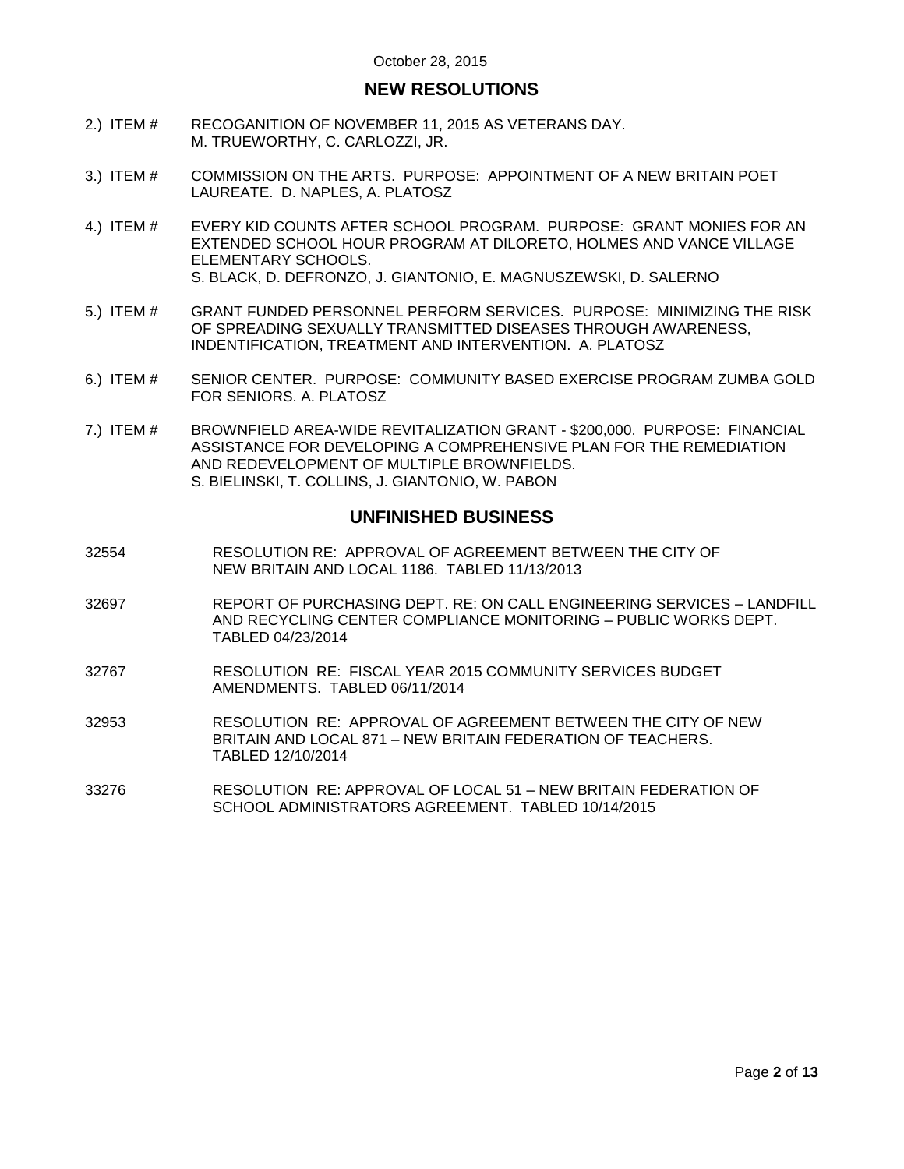# **NEW RESOLUTIONS**

- 2.) ITEM # [RECOGANITION OF NOVEMBER 11, 2015 AS VETERANS DAY.](#page-7-1)  [M. TRUEWORTHY, C. CARLOZZI, JR.](#page-7-1)
- 3.) ITEM # [COMMISSION ON THE ARTS. PURPOSE: APPOINTMENT OF A NEW BRITAIN POET](#page-8-0)  [LAUREATE. D. NAPLES, A. PLATOSZ](#page-8-0)
- 4.) ITEM # [EVERY KID COUNTS AFTER SCHOOL PROGRAM. PURPOSE: GRANT MONIES FOR AN](#page-9-0)  [EXTENDED SCHOOL HOUR PROGRAM AT DILORETO, HOLMES AND VANCE VILLAGE](#page-9-0)  [ELEMENTARY SCHOOLS.](#page-9-0) [S. BLACK, D. DEFRONZO, J. GIANTONIO, E. MAGNUSZEWSKI, D. SALERNO](#page-9-0)
- 5.) ITEM # [GRANT FUNDED PERSONNEL PERFORM SERVICES. PURPOSE: MINIMIZING THE RISK](#page-10-0)  [OF SPREADING SEXUALLY TRANSMITTED DISEASES THROUGH AWARENESS,](#page-10-0)  [INDENTIFICATION, TREATMENT AND INTERVENTION. A. PLATOSZ](#page-10-0)
- 6.) ITEM # [SENIOR CENTER. PURPOSE: COMMUNITY BASED EXERCISE PROGRAM ZUMBA GOLD](#page-10-1)  [FOR SENIORS. A. PLATOSZ](#page-10-1)
- 7.) ITEM # [BROWNFIELD AREA-WIDE REVITALIZATION GRANT](#page-11-0) \$200,000. PURPOSE: FINANCIAL [ASSISTANCE FOR DEVELOPING A COMPREHENSIVE PLAN FOR THE REMEDIATION](#page-11-0)  [AND REDEVELOPMENT OF MULTIPLE BROWNFIELDS.](#page-11-0) [S. BIELINSKI, T. COLLINS, J. GIANTONIO, W. PABON](#page-11-0)

## **UNFINISHED BUSINESS**

- 32554 RESOLUTION RE: APPROVAL OF AGREEMENT BETWEEN THE CITY OF NEW BRITAIN AND LOCAL 1186. TABLED 11/13/2013
- 32697 REPORT OF PURCHASING DEPT. RE: ON CALL ENGINEERING SERVICES LANDFILL AND RECYCLING CENTER COMPLIANCE MONITORING – PUBLIC WORKS DEPT. TABLED 04/23/2014
- 32767 RESOLUTION RE: FISCAL YEAR 2015 COMMUNITY SERVICES BUDGET AMENDMENTS. TABLED 06/11/2014
- 32953 RESOLUTION RE: APPROVAL OF AGREEMENT BETWEEN THE CITY OF NEW BRITAIN AND LOCAL 871 – NEW BRITAIN FEDERATION OF TEACHERS. TABLED 12/10/2014
- 33276 RESOLUTION RE: APPROVAL OF LOCAL 51 NEW BRITAIN FEDERATION OF SCHOOL ADMINISTRATORS AGREEMENT. TABLED 10/14/2015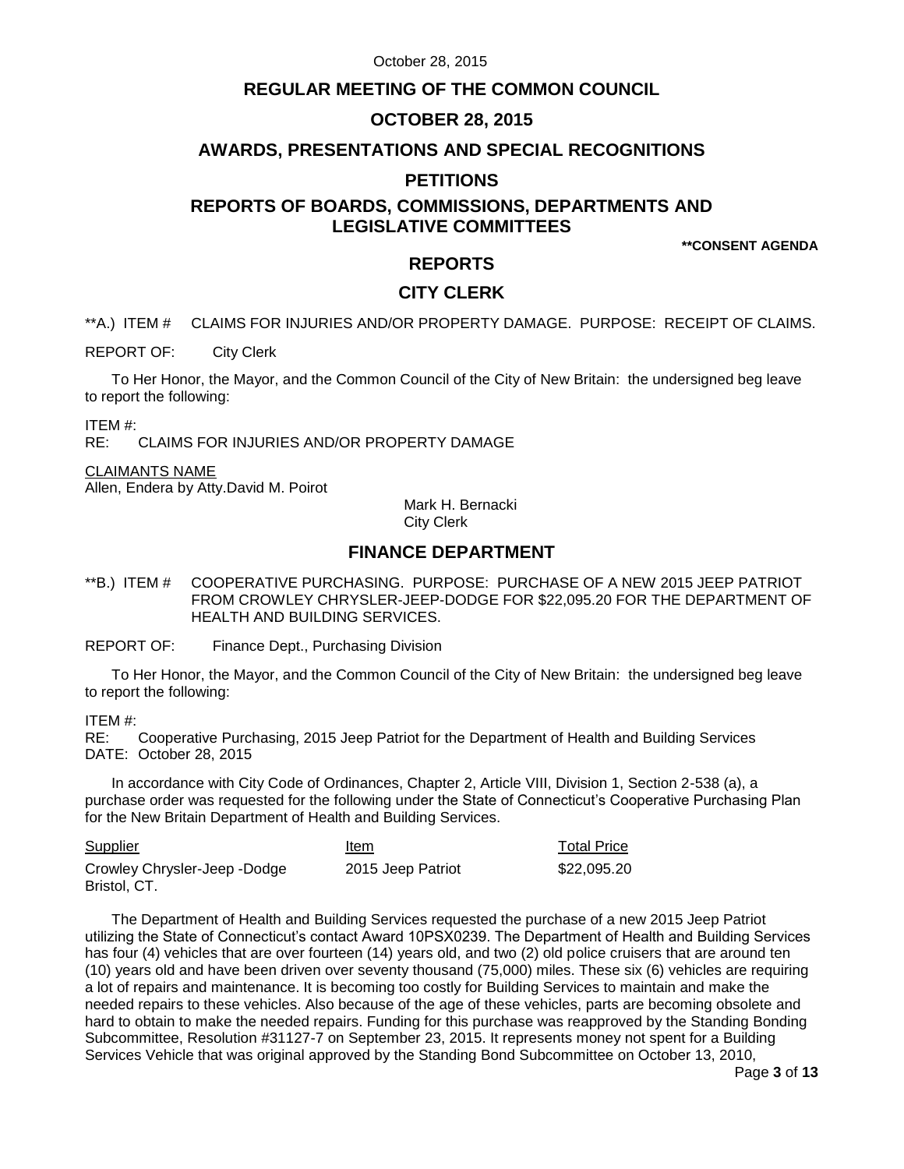# **REGULAR MEETING OF THE COMMON COUNCIL**

# **OCTOBER 28, 2015**

## **AWARDS, PRESENTATIONS AND SPECIAL RECOGNITIONS**

# **PETITIONS**

# **REPORTS OF BOARDS, COMMISSIONS, DEPARTMENTS AND LEGISLATIVE COMMITTEES**

**\*\*CONSENT AGENDA**

# **REPORTS**

# **CITY CLERK**

<span id="page-2-0"></span>\*\*A.) ITEM # CLAIMS FOR INJURIES AND/OR PROPERTY DAMAGE. PURPOSE: RECEIPT OF CLAIMS.

REPORT OF: City Clerk

To Her Honor, the Mayor, and the Common Council of the City of New Britain: the undersigned beg leave to report the following:

ITEM #:

RE: CLAIMS FOR INJURIES AND/OR PROPERTY DAMAGE

#### CLAIMANTS NAME

Allen, Endera by Atty.David M. Poirot

Mark H. Bernacki City Clerk

# **FINANCE DEPARTMENT**

<span id="page-2-1"></span>\*\*B.) ITEM # COOPERATIVE PURCHASING. PURPOSE: PURCHASE OF A NEW 2015 JEEP PATRIOT FROM CROWLEY CHRYSLER-JEEP-DODGE FOR \$22,095.20 FOR THE DEPARTMENT OF HEALTH AND BUILDING SERVICES.

REPORT OF: Finance Dept., Purchasing Division

To Her Honor, the Mayor, and the Common Council of the City of New Britain: the undersigned beg leave to report the following:

ITEM #:

RE: Cooperative Purchasing, 2015 Jeep Patriot for the Department of Health and Building Services DATE: October 28, 2015

In accordance with City Code of Ordinances, Chapter 2, Article VIII, Division 1, Section 2-538 (a), a purchase order was requested for the following under the State of Connecticut's Cooperative Purchasing Plan for the New Britain Department of Health and Building Services.

| <b>Supplier</b>              | Item              | <b>Total Price</b> |
|------------------------------|-------------------|--------------------|
| Crowley Chrysler-Jeep -Dodge | 2015 Jeep Patriot | \$22.095.20        |
| Bristol, CT.                 |                   |                    |

The Department of Health and Building Services requested the purchase of a new 2015 Jeep Patriot utilizing the State of Connecticut's contact Award 10PSX0239. The Department of Health and Building Services has four (4) vehicles that are over fourteen (14) years old, and two (2) old police cruisers that are around ten (10) years old and have been driven over seventy thousand (75,000) miles. These six (6) vehicles are requiring a lot of repairs and maintenance. It is becoming too costly for Building Services to maintain and make the needed repairs to these vehicles. Also because of the age of these vehicles, parts are becoming obsolete and hard to obtain to make the needed repairs. Funding for this purchase was reapproved by the Standing Bonding Subcommittee, Resolution #31127-7 on September 23, 2015. It represents money not spent for a Building Services Vehicle that was original approved by the Standing Bond Subcommittee on October 13, 2010,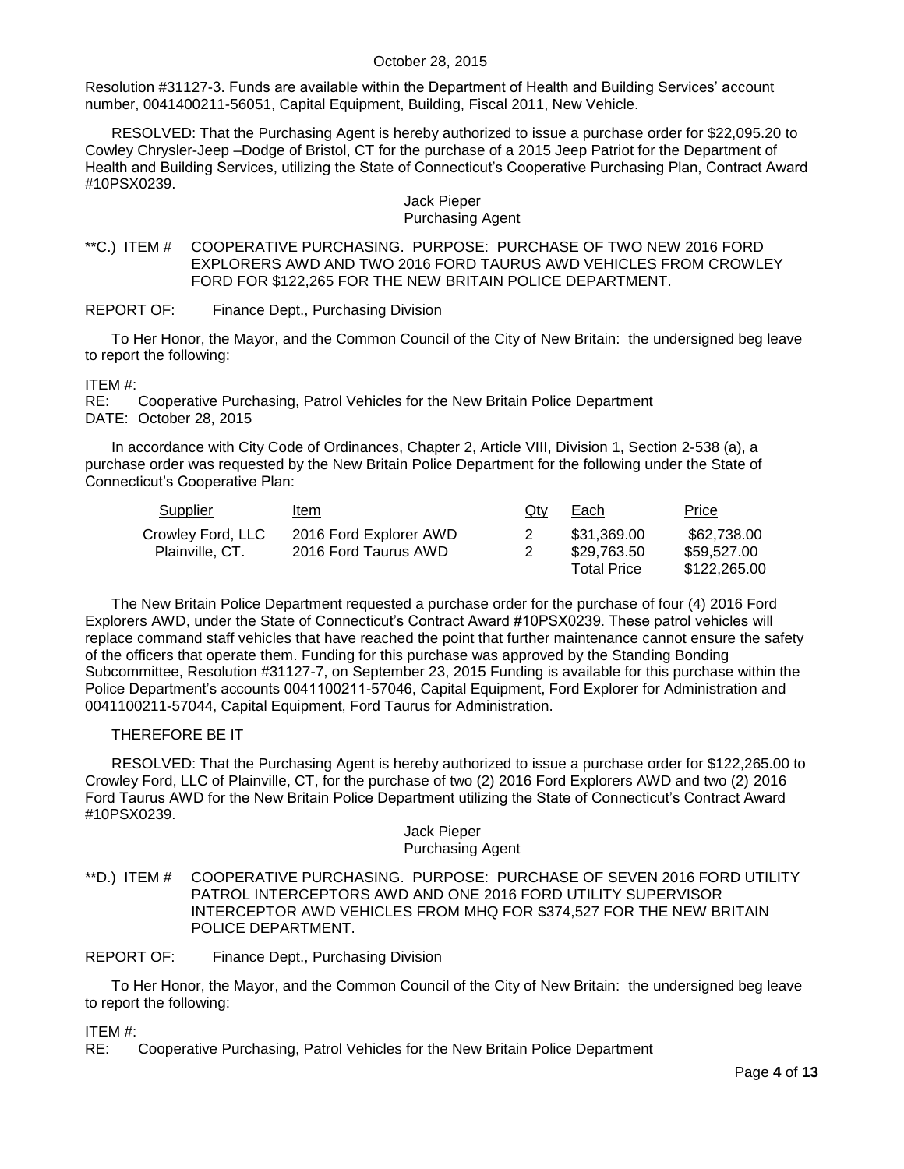Resolution #31127-3. Funds are available within the Department of Health and Building Services' account number, 0041400211-56051, Capital Equipment, Building, Fiscal 2011, New Vehicle.

RESOLVED: That the Purchasing Agent is hereby authorized to issue a purchase order for \$22,095.20 to Cowley Chrysler-Jeep –Dodge of Bristol, CT for the purchase of a 2015 Jeep Patriot for the Department of Health and Building Services, utilizing the State of Connecticut's Cooperative Purchasing Plan, Contract Award #10PSX0239.

# Jack Pieper

## Purchasing Agent

#### <span id="page-3-0"></span>\*\*C.) ITEM # COOPERATIVE PURCHASING. PURPOSE: PURCHASE OF TWO NEW 2016 FORD EXPLORERS AWD AND TWO 2016 FORD TAURUS AWD VEHICLES FROM CROWLEY FORD FOR \$122,265 FOR THE NEW BRITAIN POLICE DEPARTMENT.

REPORT OF: Finance Dept., Purchasing Division

To Her Honor, the Mayor, and the Common Council of the City of New Britain: the undersigned beg leave to report the following:

### ITEM #:

RE: Cooperative Purchasing, Patrol Vehicles for the New Britain Police Department DATE: October 28, 2015

In accordance with City Code of Ordinances, Chapter 2, Article VIII, Division 1, Section 2-538 (a), a purchase order was requested by the New Britain Police Department for the following under the State of Connecticut's Cooperative Plan:

| Supplier          | <u>Item</u>            | Qtv | Each               | <b>Price</b> |
|-------------------|------------------------|-----|--------------------|--------------|
| Crowley Ford, LLC | 2016 Ford Explorer AWD |     | \$31.369.00        | \$62,738.00  |
| Plainville, CT.   | 2016 Ford Taurus AWD   |     | \$29,763.50        | \$59,527.00  |
|                   |                        |     | <b>Total Price</b> | \$122,265.00 |

The New Britain Police Department requested a purchase order for the purchase of four (4) 2016 Ford Explorers AWD, under the State of Connecticut's Contract Award #10PSX0239. These patrol vehicles will replace command staff vehicles that have reached the point that further maintenance cannot ensure the safety of the officers that operate them. Funding for this purchase was approved by the Standing Bonding Subcommittee, Resolution #31127-7, on September 23, 2015 Funding is available for this purchase within the Police Department's accounts 0041100211-57046, Capital Equipment, Ford Explorer for Administration and 0041100211-57044, Capital Equipment, Ford Taurus for Administration.

### THEREFORE BE IT

RESOLVED: That the Purchasing Agent is hereby authorized to issue a purchase order for \$122,265.00 to Crowley Ford, LLC of Plainville, CT, for the purchase of two (2) 2016 Ford Explorers AWD and two (2) 2016 Ford Taurus AWD for the New Britain Police Department utilizing the State of Connecticut's Contract Award #10PSX0239.

#### Jack Pieper Purchasing Agent

<span id="page-3-1"></span>\*\*D.) ITEM # COOPERATIVE PURCHASING. PURPOSE: PURCHASE OF SEVEN 2016 FORD UTILITY PATROL INTERCEPTORS AWD AND ONE 2016 FORD UTILITY SUPERVISOR INTERCEPTOR AWD VEHICLES FROM MHQ FOR \$374,527 FOR THE NEW BRITAIN POLICE DEPARTMENT.

REPORT OF: Finance Dept., Purchasing Division

To Her Honor, the Mayor, and the Common Council of the City of New Britain: the undersigned beg leave to report the following:

ITEM #:

RE: Cooperative Purchasing, Patrol Vehicles for the New Britain Police Department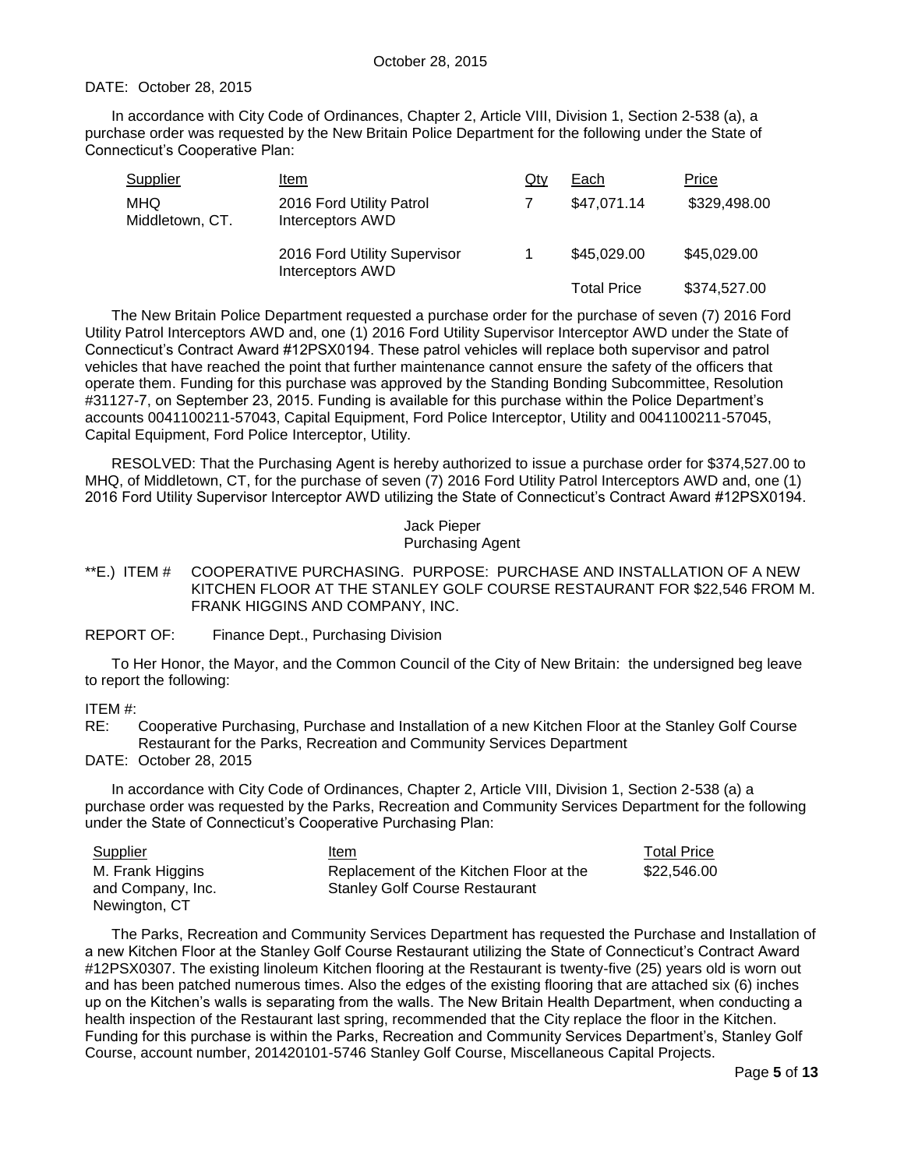### DATE: October 28, 2015

In accordance with City Code of Ordinances, Chapter 2, Article VIII, Division 1, Section 2-538 (a), a purchase order was requested by the New Britain Police Department for the following under the State of Connecticut's Cooperative Plan:

| Supplier               | Item                                             | Qty | Each               | Price        |
|------------------------|--------------------------------------------------|-----|--------------------|--------------|
| MHQ<br>Middletown, CT. | 2016 Ford Utility Patrol<br>Interceptors AWD     |     | \$47,071.14        | \$329,498.00 |
|                        | 2016 Ford Utility Supervisor<br>Interceptors AWD |     | \$45,029.00        | \$45,029.00  |
|                        |                                                  |     | <b>Total Price</b> | \$374,527.00 |

The New Britain Police Department requested a purchase order for the purchase of seven (7) 2016 Ford Utility Patrol Interceptors AWD and, one (1) 2016 Ford Utility Supervisor Interceptor AWD under the State of Connecticut's Contract Award #12PSX0194. These patrol vehicles will replace both supervisor and patrol vehicles that have reached the point that further maintenance cannot ensure the safety of the officers that operate them. Funding for this purchase was approved by the Standing Bonding Subcommittee, Resolution #31127-7, on September 23, 2015. Funding is available for this purchase within the Police Department's accounts 0041100211-57043, Capital Equipment, Ford Police Interceptor, Utility and 0041100211-57045, Capital Equipment, Ford Police Interceptor, Utility.

RESOLVED: That the Purchasing Agent is hereby authorized to issue a purchase order for \$374,527.00 to MHQ, of Middletown, CT, for the purchase of seven (7) 2016 Ford Utility Patrol Interceptors AWD and, one (1) 2016 Ford Utility Supervisor Interceptor AWD utilizing the State of Connecticut's Contract Award #12PSX0194.

#### Jack Pieper Purchasing Agent

#### <span id="page-4-0"></span>\*\*E.) ITEM # COOPERATIVE PURCHASING. PURPOSE: PURCHASE AND INSTALLATION OF A NEW KITCHEN FLOOR AT THE STANLEY GOLF COURSE RESTAURANT FOR \$22,546 FROM M. FRANK HIGGINS AND COMPANY, INC.

REPORT OF: Finance Dept., Purchasing Division

To Her Honor, the Mayor, and the Common Council of the City of New Britain: the undersigned beg leave to report the following:

ITEM #:

RE: Cooperative Purchasing, Purchase and Installation of a new Kitchen Floor at the Stanley Golf Course Restaurant for the Parks, Recreation and Community Services Department

DATE: October 28, 2015

In accordance with City Code of Ordinances, Chapter 2, Article VIII, Division 1, Section 2-538 (a) a purchase order was requested by the Parks, Recreation and Community Services Department for the following under the State of Connecticut's Cooperative Purchasing Plan:

| Supplier          | Item                                    | <b>Total Price</b> |
|-------------------|-----------------------------------------|--------------------|
| M. Frank Higgins  | Replacement of the Kitchen Floor at the | \$22.546.00        |
| and Company, Inc. | <b>Stanley Golf Course Restaurant</b>   |                    |
| Newington, CT     |                                         |                    |

The Parks, Recreation and Community Services Department has requested the Purchase and Installation of a new Kitchen Floor at the Stanley Golf Course Restaurant utilizing the State of Connecticut's Contract Award #12PSX0307. The existing linoleum Kitchen flooring at the Restaurant is twenty-five (25) years old is worn out and has been patched numerous times. Also the edges of the existing flooring that are attached six (6) inches up on the Kitchen's walls is separating from the walls. The New Britain Health Department, when conducting a health inspection of the Restaurant last spring, recommended that the City replace the floor in the Kitchen. Funding for this purchase is within the Parks, Recreation and Community Services Department's, Stanley Golf Course, account number, 201420101-5746 Stanley Golf Course, Miscellaneous Capital Projects.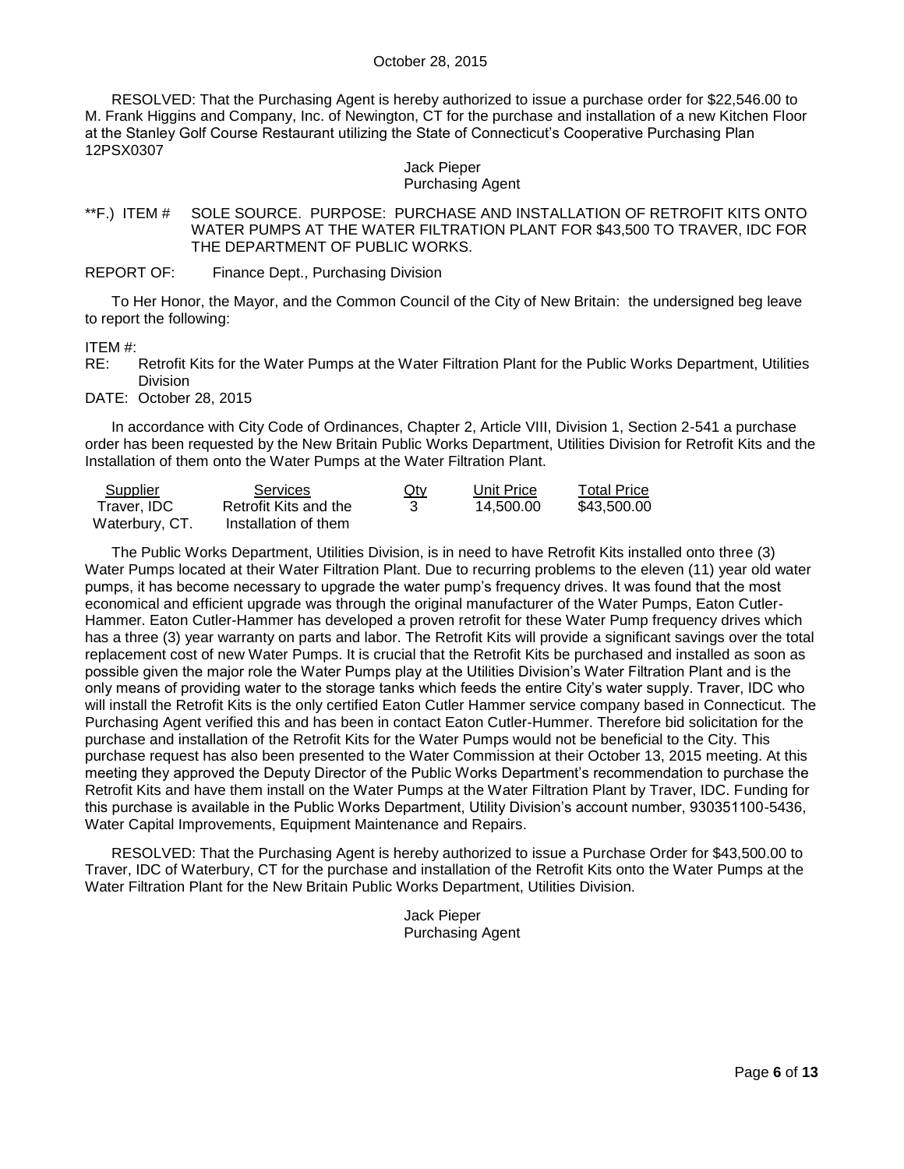RESOLVED: That the Purchasing Agent is hereby authorized to issue a purchase order for \$22,546.00 to M. Frank Higgins and Company, Inc. of Newington, CT for the purchase and installation of a new Kitchen Floor at the Stanley Golf Course Restaurant utilizing the State of Connecticut's Cooperative Purchasing Plan 12PSX0307

#### Jack Pieper Purchasing Agent

### <span id="page-5-0"></span>\*\*F.) ITEM # SOLE SOURCE. PURPOSE: PURCHASE AND INSTALLATION OF RETROFIT KITS ONTO WATER PUMPS AT THE WATER FILTRATION PLANT FOR \$43,500 TO TRAVER, IDC FOR THE DEPARTMENT OF PUBLIC WORKS.

REPORT OF: Finance Dept., Purchasing Division

To Her Honor, the Mayor, and the Common Council of the City of New Britain: the undersigned beg leave to report the following:

#### ITEM #:

RE: Retrofit Kits for the Water Pumps at the Water Filtration Plant for the Public Works Department, Utilities **Division** 

DATE: October 28, 2015

In accordance with City Code of Ordinances, Chapter 2, Article VIII, Division 1, Section 2-541 a purchase order has been requested by the New Britain Public Works Department, Utilities Division for Retrofit Kits and the Installation of them onto the Water Pumps at the Water Filtration Plant.

| Supplier       | <b>Services</b>       | $Q$ ty | Unit Price | <b>Total Price</b> |
|----------------|-----------------------|--------|------------|--------------------|
| Traver. IDC    | Retrofit Kits and the |        | 14.500.00  | \$43,500.00        |
| Waterbury, CT. | Installation of them  |        |            |                    |

The Public Works Department, Utilities Division, is in need to have Retrofit Kits installed onto three (3) Water Pumps located at their Water Filtration Plant. Due to recurring problems to the eleven (11) year old water pumps, it has become necessary to upgrade the water pump's frequency drives. It was found that the most economical and efficient upgrade was through the original manufacturer of the Water Pumps, Eaton Cutler-Hammer. Eaton Cutler-Hammer has developed a proven retrofit for these Water Pump frequency drives which has a three (3) year warranty on parts and labor. The Retrofit Kits will provide a significant savings over the total replacement cost of new Water Pumps. It is crucial that the Retrofit Kits be purchased and installed as soon as possible given the major role the Water Pumps play at the Utilities Division's Water Filtration Plant and is the only means of providing water to the storage tanks which feeds the entire City's water supply. Traver, IDC who will install the Retrofit Kits is the only certified Eaton Cutler Hammer service company based in Connecticut. The Purchasing Agent verified this and has been in contact Eaton Cutler-Hummer. Therefore bid solicitation for the purchase and installation of the Retrofit Kits for the Water Pumps would not be beneficial to the City. This purchase request has also been presented to the Water Commission at their October 13, 2015 meeting. At this meeting they approved the Deputy Director of the Public Works Department's recommendation to purchase the Retrofit Kits and have them install on the Water Pumps at the Water Filtration Plant by Traver, IDC. Funding for this purchase is available in the Public Works Department, Utility Division's account number, 930351100-5436, Water Capital Improvements, Equipment Maintenance and Repairs.

RESOLVED: That the Purchasing Agent is hereby authorized to issue a Purchase Order for \$43,500.00 to Traver, IDC of Waterbury, CT for the purchase and installation of the Retrofit Kits onto the Water Pumps at the Water Filtration Plant for the New Britain Public Works Department, Utilities Division.

> Jack Pieper Purchasing Agent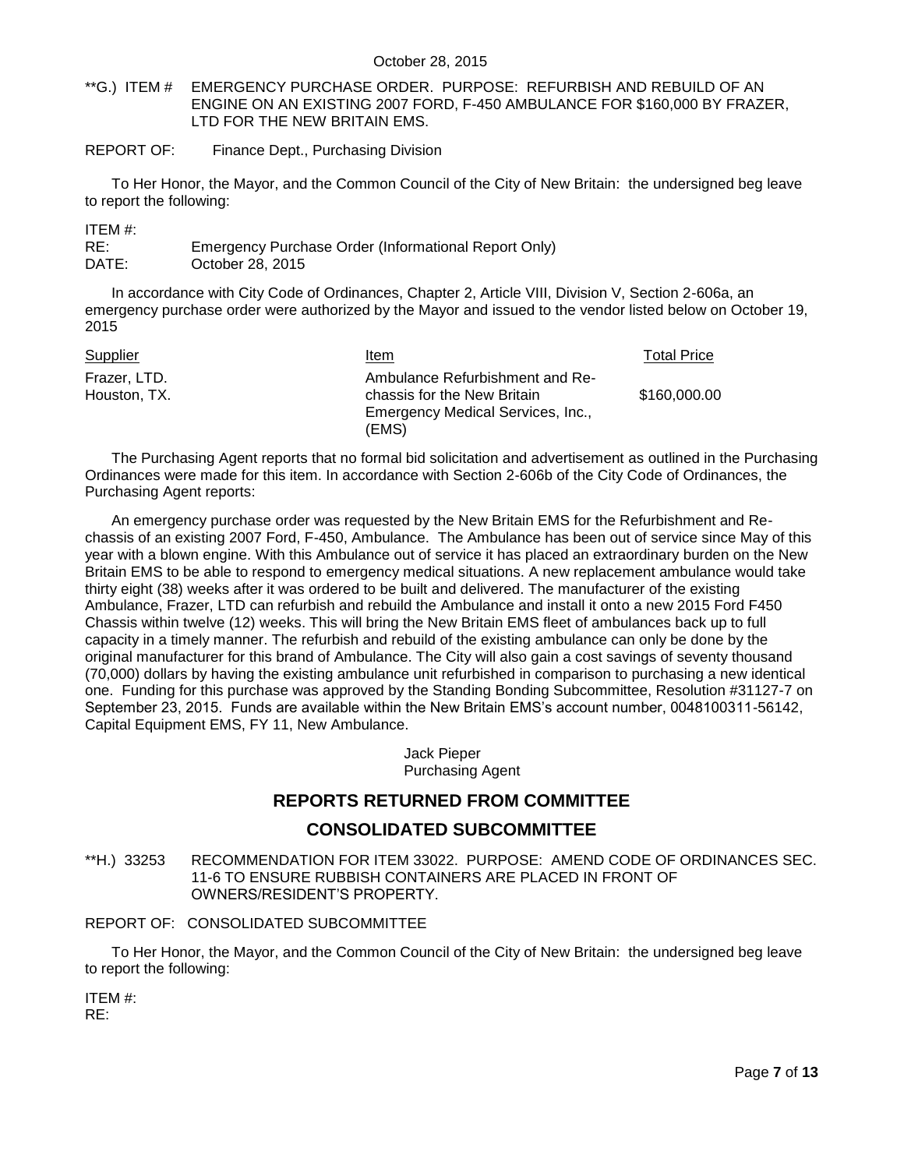<span id="page-6-0"></span>\*\*G.) ITEM # EMERGENCY PURCHASE ORDER. PURPOSE: REFURBISH AND REBUILD OF AN ENGINE ON AN EXISTING 2007 FORD, F-450 AMBULANCE FOR \$160,000 BY FRAZER, LTD FOR THE NEW BRITAIN EMS.

REPORT OF: Finance Dept., Purchasing Division

To Her Honor, the Mayor, and the Common Council of the City of New Britain: the undersigned beg leave to report the following:

ITEM #:

| RE:   | Emergency Purchase Order (Informational Report Only) |
|-------|------------------------------------------------------|
| DATE: | October 28, 2015                                     |

In accordance with City Code of Ordinances, Chapter 2, Article VIII, Division V, Section 2-606a, an emergency purchase order were authorized by the Mayor and issued to the vendor listed below on October 19, 2015

| Supplier                     | ltem                                                           | <b>Total Price</b> |
|------------------------------|----------------------------------------------------------------|--------------------|
| Frazer, LTD.<br>Houston, TX. | Ambulance Refurbishment and Re-<br>chassis for the New Britain | \$160,000.00       |
|                              | Emergency Medical Services, Inc.,                              |                    |
|                              | (EMS)                                                          |                    |

The Purchasing Agent reports that no formal bid solicitation and advertisement as outlined in the Purchasing Ordinances were made for this item. In accordance with Section 2-606b of the City Code of Ordinances, the Purchasing Agent reports:

An emergency purchase order was requested by the New Britain EMS for the Refurbishment and Rechassis of an existing 2007 Ford, F-450, Ambulance. The Ambulance has been out of service since May of this year with a blown engine. With this Ambulance out of service it has placed an extraordinary burden on the New Britain EMS to be able to respond to emergency medical situations. A new replacement ambulance would take thirty eight (38) weeks after it was ordered to be built and delivered. The manufacturer of the existing Ambulance, Frazer, LTD can refurbish and rebuild the Ambulance and install it onto a new 2015 Ford F450 Chassis within twelve (12) weeks. This will bring the New Britain EMS fleet of ambulances back up to full capacity in a timely manner. The refurbish and rebuild of the existing ambulance can only be done by the original manufacturer for this brand of Ambulance. The City will also gain a cost savings of seventy thousand (70,000) dollars by having the existing ambulance unit refurbished in comparison to purchasing a new identical one. Funding for this purchase was approved by the Standing Bonding Subcommittee, Resolution #31127-7 on September 23, 2015. Funds are available within the New Britain EMS's account number, 0048100311-56142, Capital Equipment EMS, FY 11, New Ambulance.

> Jack Pieper Purchasing Agent

# **REPORTS RETURNED FROM COMMITTEE**

# **CONSOLIDATED SUBCOMMITTEE**

<span id="page-6-1"></span>\*\*H.) 33253 RECOMMENDATION FOR ITEM 33022. PURPOSE: AMEND CODE OF ORDINANCES SEC. 11-6 TO ENSURE RUBBISH CONTAINERS ARE PLACED IN FRONT OF OWNERS/RESIDENT'S PROPERTY.

## REPORT OF: CONSOLIDATED SUBCOMMITTEE

To Her Honor, the Mayor, and the Common Council of the City of New Britain: the undersigned beg leave to report the following:

ITEM #: RE: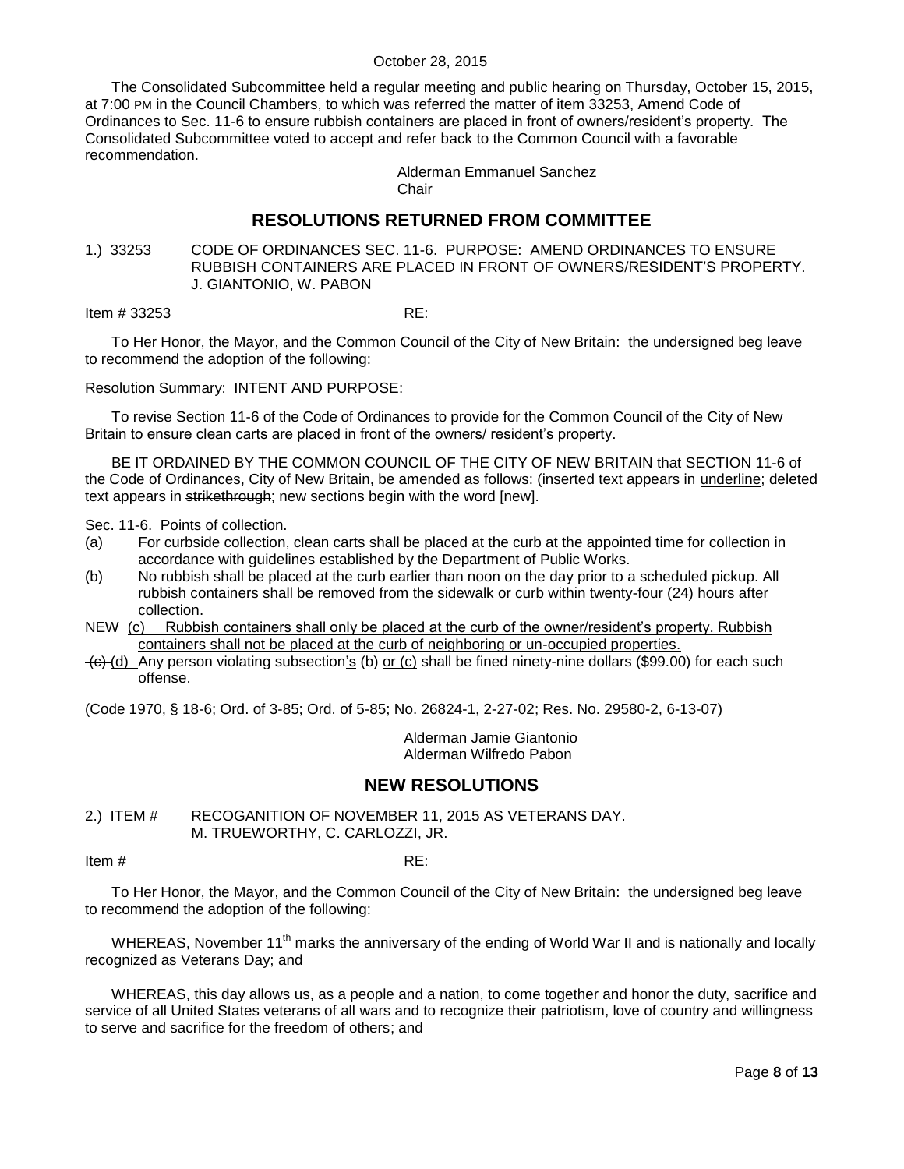The Consolidated Subcommittee held a regular meeting and public hearing on Thursday, October 15, 2015, at 7:00 PM in the Council Chambers, to which was referred the matter of item 33253, Amend Code of Ordinances to Sec. 11-6 to ensure rubbish containers are placed in front of owners/resident's property. The Consolidated Subcommittee voted to accept and refer back to the Common Council with a favorable recommendation.

> Alderman Emmanuel Sanchez **Chair**

# **RESOLUTIONS RETURNED FROM COMMITTEE**

<span id="page-7-0"></span>1.) 33253 CODE OF ORDINANCES SEC. 11-6. PURPOSE: AMEND ORDINANCES TO ENSURE RUBBISH CONTAINERS ARE PLACED IN FRONT OF OWNERS/RESIDENT'S PROPERTY. J. GIANTONIO, W. PABON

**Item # 33253** RE:

To Her Honor, the Mayor, and the Common Council of the City of New Britain: the undersigned beg leave to recommend the adoption of the following:

Resolution Summary: INTENT AND PURPOSE:

To revise Section 11-6 of the Code of Ordinances to provide for the Common Council of the City of New Britain to ensure clean carts are placed in front of the owners/ resident's property.

BE IT ORDAINED BY THE COMMON COUNCIL OF THE CITY OF NEW BRITAIN that SECTION 11-6 of the Code of Ordinances, City of New Britain, be amended as follows: (inserted text appears in *underline; deleted* text appears in strikethrough; new sections begin with the word [new].

Sec. 11-6. Points of collection.

- (a) For curbside collection, clean carts shall be placed at the curb at the appointed time for collection in accordance with guidelines established by the Department of Public Works.
- (b) No rubbish shall be placed at the curb earlier than noon on the day prior to a scheduled pickup. All rubbish containers shall be removed from the sidewalk or curb within twenty-four (24) hours after collection.
- NEW (c) Rubbish containers shall only be placed at the curb of the owner/resident's property. Rubbish containers shall not be placed at the curb of neighboring or un-occupied properties.
- $\left( \frac{1}{2} \right)$  Any person violating subsection's (b) or (c) shall be fined ninety-nine dollars (\$99.00) for each such offense.

(Code 1970, § 18-6; Ord. of 3-85; Ord. of 5-85; No. 26824-1, 2-27-02; Res. No. 29580-2, 6-13-07)

Alderman Jamie Giantonio Alderman Wilfredo Pabon

# **NEW RESOLUTIONS**

<span id="page-7-1"></span>2.) ITEM # RECOGANITION OF NOVEMBER 11, 2015 AS VETERANS DAY. M. TRUEWORTHY, C. CARLOZZI, JR.

Item # RE:

To Her Honor, the Mayor, and the Common Council of the City of New Britain: the undersigned beg leave to recommend the adoption of the following:

WHEREAS, November 11<sup>th</sup> marks the anniversary of the ending of World War II and is nationally and locally recognized as Veterans Day; and

WHEREAS, this day allows us, as a people and a nation, to come together and honor the duty, sacrifice and service of all United States veterans of all wars and to recognize their patriotism, love of country and willingness to serve and sacrifice for the freedom of others; and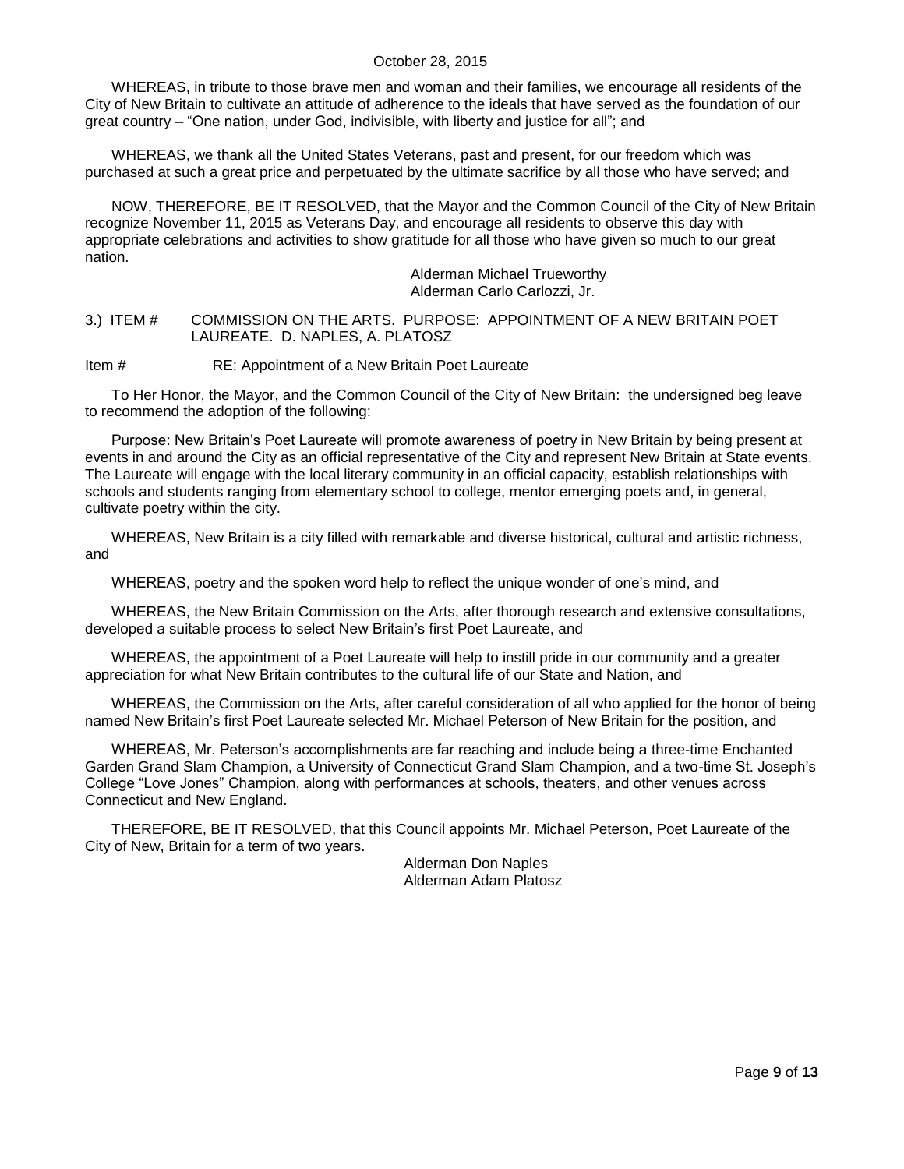WHEREAS, in tribute to those brave men and woman and their families, we encourage all residents of the City of New Britain to cultivate an attitude of adherence to the ideals that have served as the foundation of our great country – "One nation, under God, indivisible, with liberty and justice for all"; and

WHEREAS, we thank all the United States Veterans, past and present, for our freedom which was purchased at such a great price and perpetuated by the ultimate sacrifice by all those who have served; and

NOW, THEREFORE, BE IT RESOLVED, that the Mayor and the Common Council of the City of New Britain recognize November 11, 2015 as Veterans Day, and encourage all residents to observe this day with appropriate celebrations and activities to show gratitude for all those who have given so much to our great nation.

> Alderman Michael Trueworthy Alderman Carlo Carlozzi, Jr.

<span id="page-8-0"></span>3.) ITEM # COMMISSION ON THE ARTS. PURPOSE: APPOINTMENT OF A NEW BRITAIN POET LAUREATE. D. NAPLES, A. PLATOSZ

Item # RE: Appointment of a New Britain Poet Laureate

To Her Honor, the Mayor, and the Common Council of the City of New Britain: the undersigned beg leave to recommend the adoption of the following:

Purpose: New Britain's Poet Laureate will promote awareness of poetry in New Britain by being present at events in and around the City as an official representative of the City and represent New Britain at State events. The Laureate will engage with the local literary community in an official capacity, establish relationships with schools and students ranging from elementary school to college, mentor emerging poets and, in general, cultivate poetry within the city.

WHEREAS, New Britain is a city filled with remarkable and diverse historical, cultural and artistic richness, and

WHEREAS, poetry and the spoken word help to reflect the unique wonder of one's mind, and

WHEREAS, the New Britain Commission on the Arts, after thorough research and extensive consultations, developed a suitable process to select New Britain's first Poet Laureate, and

WHEREAS, the appointment of a Poet Laureate will help to instill pride in our community and a greater appreciation for what New Britain contributes to the cultural life of our State and Nation, and

WHEREAS, the Commission on the Arts, after careful consideration of all who applied for the honor of being named New Britain's first Poet Laureate selected Mr. Michael Peterson of New Britain for the position, and

WHEREAS, Mr. Peterson's accomplishments are far reaching and include being a three-time Enchanted Garden Grand Slam Champion, a University of Connecticut Grand Slam Champion, and a two-time St. Joseph's College "Love Jones" Champion, along with performances at schools, theaters, and other venues across Connecticut and New England.

THEREFORE, BE IT RESOLVED, that this Council appoints Mr. Michael Peterson, Poet Laureate of the City of New, Britain for a term of two years.

> Alderman Don Naples Alderman Adam Platosz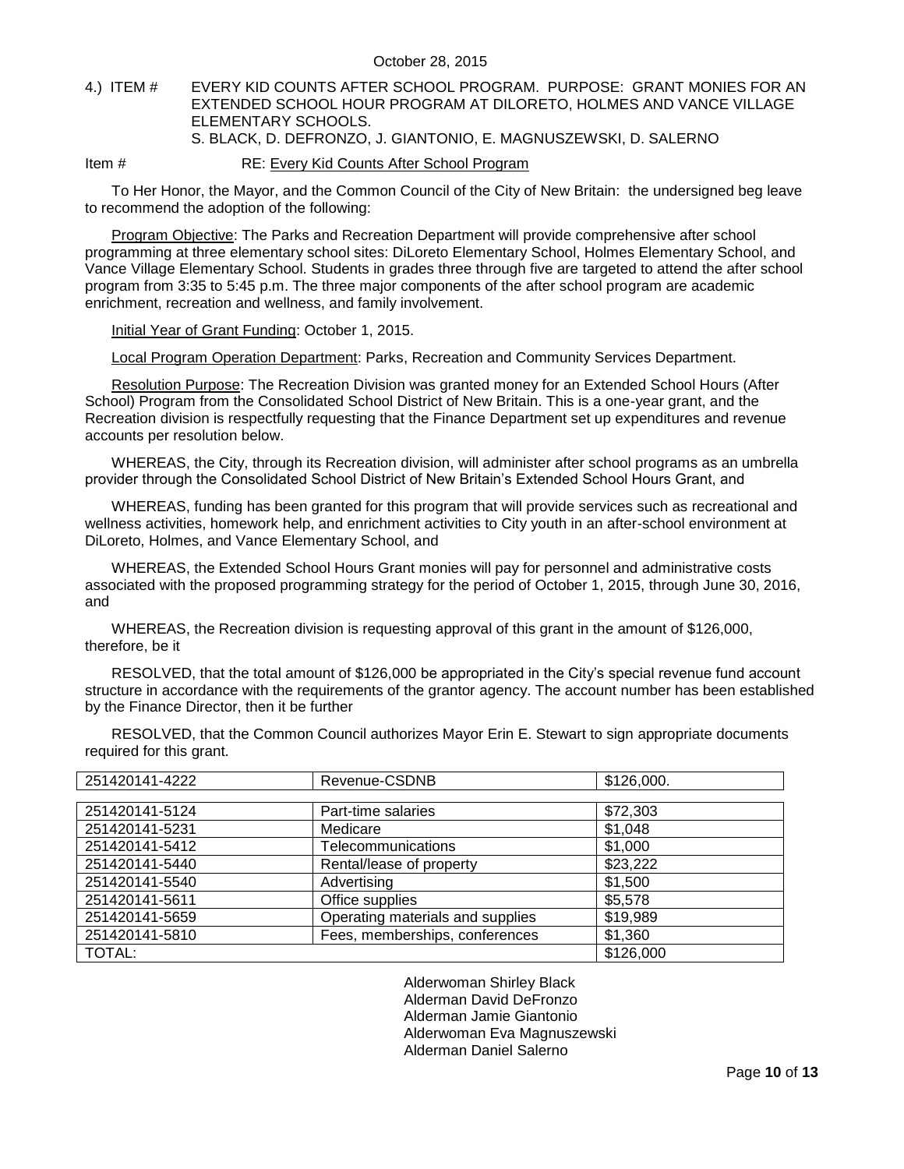### <span id="page-9-0"></span>4.) ITEM # EVERY KID COUNTS AFTER SCHOOL PROGRAM. PURPOSE: GRANT MONIES FOR AN EXTENDED SCHOOL HOUR PROGRAM AT DILORETO, HOLMES AND VANCE VILLAGE ELEMENTARY SCHOOLS. S. BLACK, D. DEFRONZO, J. GIANTONIO, E. MAGNUSZEWSKI, D. SALERNO

Item # RE: Every Kid Counts After School Program

To Her Honor, the Mayor, and the Common Council of the City of New Britain: the undersigned beg leave to recommend the adoption of the following:

Program Objective: The Parks and Recreation Department will provide comprehensive after school programming at three elementary school sites: DiLoreto Elementary School, Holmes Elementary School, and Vance Village Elementary School. Students in grades three through five are targeted to attend the after school program from 3:35 to 5:45 p.m. The three major components of the after school program are academic enrichment, recreation and wellness, and family involvement.

Initial Year of Grant Funding: October 1, 2015.

Local Program Operation Department: Parks, Recreation and Community Services Department.

Resolution Purpose: The Recreation Division was granted money for an Extended School Hours (After School) Program from the Consolidated School District of New Britain. This is a one-year grant, and the Recreation division is respectfully requesting that the Finance Department set up expenditures and revenue accounts per resolution below.

WHEREAS, the City, through its Recreation division, will administer after school programs as an umbrella provider through the Consolidated School District of New Britain's Extended School Hours Grant, and

WHEREAS, funding has been granted for this program that will provide services such as recreational and wellness activities, homework help, and enrichment activities to City youth in an after-school environment at DiLoreto, Holmes, and Vance Elementary School, and

WHEREAS, the Extended School Hours Grant monies will pay for personnel and administrative costs associated with the proposed programming strategy for the period of October 1, 2015, through June 30, 2016, and

WHEREAS, the Recreation division is requesting approval of this grant in the amount of \$126,000, therefore, be it

RESOLVED, that the total amount of \$126,000 be appropriated in the City's special revenue fund account structure in accordance with the requirements of the grantor agency. The account number has been established by the Finance Director, then it be further

| 251420141-4222 | Revenue-CSDNB                    | \$126,000. |
|----------------|----------------------------------|------------|
|                |                                  |            |
| 251420141-5124 | Part-time salaries               | \$72,303   |
| 251420141-5231 | Medicare                         | \$1,048    |
| 251420141-5412 | Telecommunications               | \$1,000    |
| 251420141-5440 | Rental/lease of property         | \$23,222   |
| 251420141-5540 | Advertising                      | \$1,500    |
| 251420141-5611 | Office supplies                  | \$5,578    |
| 251420141-5659 | Operating materials and supplies | \$19,989   |
| 251420141-5810 | Fees, memberships, conferences   | \$1,360    |
| <b>TOTAL:</b>  |                                  | \$126,000  |

RESOLVED, that the Common Council authorizes Mayor Erin E. Stewart to sign appropriate documents required for this grant.

> Alderwoman Shirley Black Alderman David DeFronzo Alderman Jamie Giantonio Alderwoman Eva Magnuszewski Alderman Daniel Salerno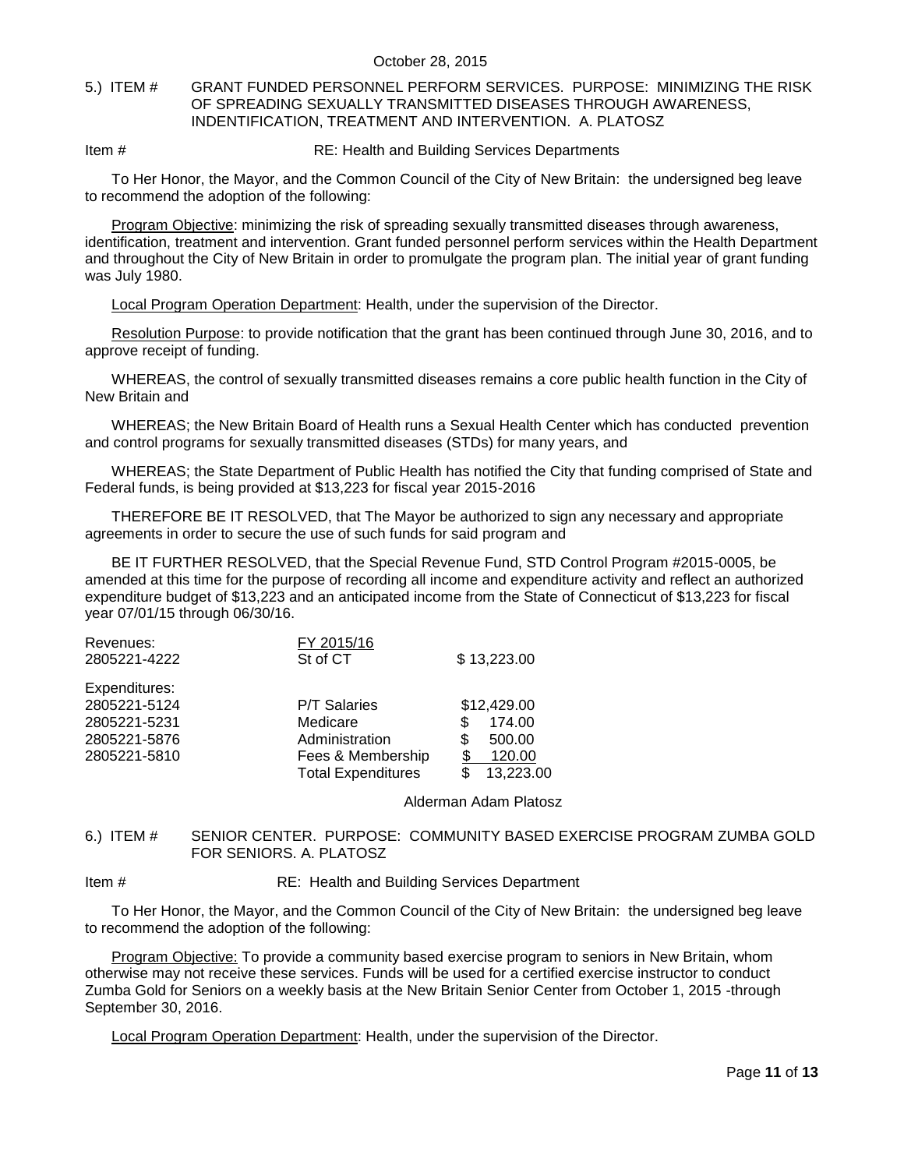#### <span id="page-10-0"></span>5.) ITEM # GRANT FUNDED PERSONNEL PERFORM SERVICES. PURPOSE: MINIMIZING THE RISK OF SPREADING SEXUALLY TRANSMITTED DISEASES THROUGH AWARENESS, INDENTIFICATION, TREATMENT AND INTERVENTION. A. PLATOSZ

Item # RE: Health and Building Services Departments

To Her Honor, the Mayor, and the Common Council of the City of New Britain: the undersigned beg leave to recommend the adoption of the following:

Program Objective: minimizing the risk of spreading sexually transmitted diseases through awareness, identification, treatment and intervention. Grant funded personnel perform services within the Health Department and throughout the City of New Britain in order to promulgate the program plan. The initial year of grant funding was July 1980.

Local Program Operation Department: Health, under the supervision of the Director.

Resolution Purpose: to provide notification that the grant has been continued through June 30, 2016, and to approve receipt of funding.

WHEREAS, the control of sexually transmitted diseases remains a core public health function in the City of New Britain and

WHEREAS; the New Britain Board of Health runs a Sexual Health Center which has conducted prevention and control programs for sexually transmitted diseases (STDs) for many years, and

WHEREAS; the State Department of Public Health has notified the City that funding comprised of State and Federal funds, is being provided at \$13,223 for fiscal year 2015-2016

THEREFORE BE IT RESOLVED, that The Mayor be authorized to sign any necessary and appropriate agreements in order to secure the use of such funds for said program and

BE IT FURTHER RESOLVED, that the Special Revenue Fund, STD Control Program #2015-0005, be amended at this time for the purpose of recording all income and expenditure activity and reflect an authorized expenditure budget of \$13,223 and an anticipated income from the State of Connecticut of \$13,223 for fiscal year 07/01/15 through 06/30/16.

| Revenues:     | FY 2015/16                |             |
|---------------|---------------------------|-------------|
| 2805221-4222  | St of CT                  | \$13,223.00 |
| Expenditures: |                           |             |
| 2805221-5124  | <b>P/T Salaries</b>       | \$12,429.00 |
| 2805221-5231  | Medicare                  | 174.00      |
| 2805221-5876  | Administration            | 500.00<br>S |
| 2805221-5810  | Fees & Membership         | 120.00      |
|               | <b>Total Expenditures</b> | 13,223.00   |

Alderman Adam Platosz

## <span id="page-10-1"></span>6.) ITEM # SENIOR CENTER. PURPOSE: COMMUNITY BASED EXERCISE PROGRAM ZUMBA GOLD FOR SENIORS. A. PLATOSZ

Item # RE: Health and Building Services Department

To Her Honor, the Mayor, and the Common Council of the City of New Britain: the undersigned beg leave to recommend the adoption of the following:

Program Objective: To provide a community based exercise program to seniors in New Britain, whom otherwise may not receive these services. Funds will be used for a certified exercise instructor to conduct Zumba Gold for Seniors on a weekly basis at the New Britain Senior Center from October 1, 2015 -through September 30, 2016.

Local Program Operation Department: Health, under the supervision of the Director.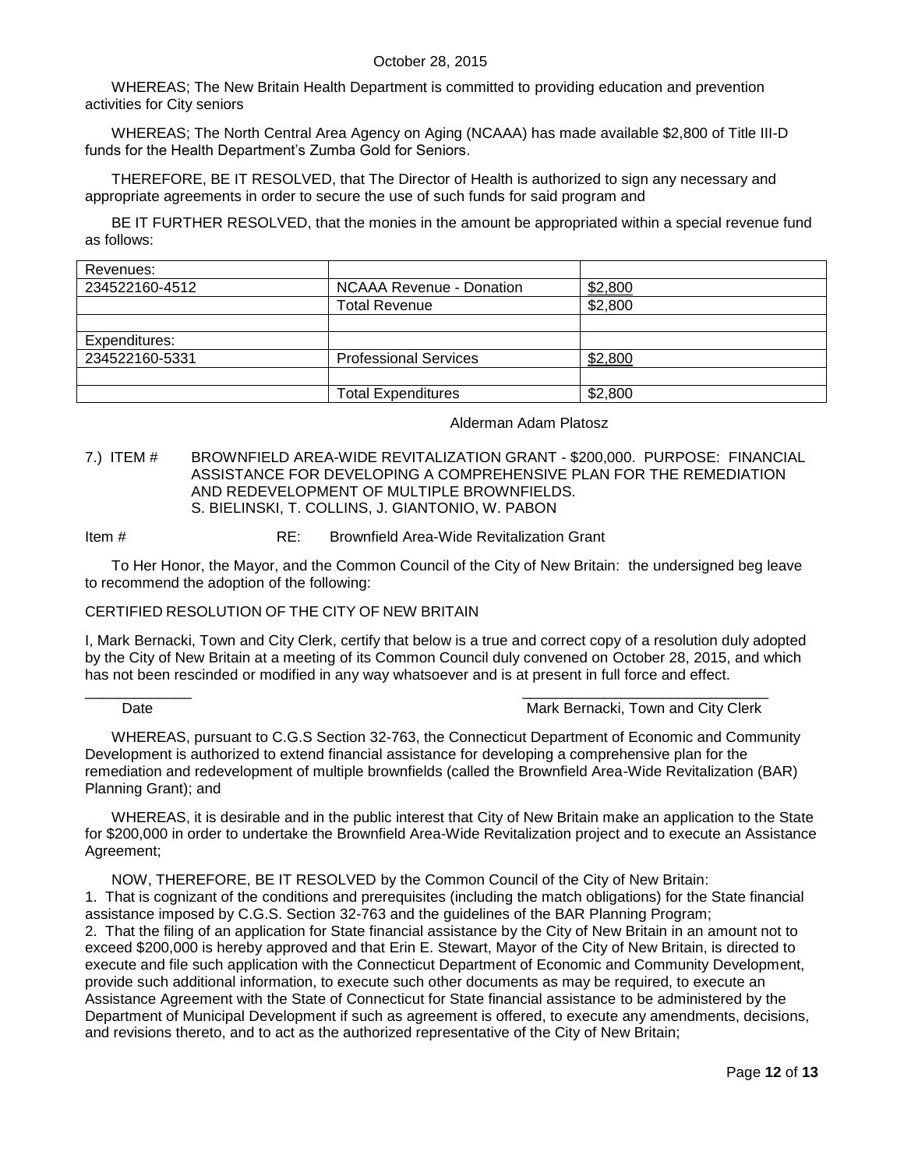WHEREAS; The New Britain Health Department is committed to providing education and prevention activities for City seniors

WHEREAS; The North Central Area Agency on Aging (NCAAA) has made available \$2,800 of Title III-D funds for the Health Department's Zumba Gold for Seniors.

THEREFORE, BE IT RESOLVED, that The Director of Health is authorized to sign any necessary and appropriate agreements in order to secure the use of such funds for said program and

BE IT FURTHER RESOLVED, that the monies in the amount be appropriated within a special revenue fund as follows:

| Revenues:      |                              |         |
|----------------|------------------------------|---------|
| 234522160-4512 | NCAAA Revenue - Donation     | \$2,800 |
|                | <b>Total Revenue</b>         | \$2,800 |
|                |                              |         |
| Expenditures:  |                              |         |
| 234522160-5331 | <b>Professional Services</b> | \$2,800 |
|                |                              |         |
|                | <b>Total Expenditures</b>    | \$2,800 |

Alderman Adam Platosz

#### <span id="page-11-0"></span>7.) ITEM # BROWNFIELD AREA-WIDE REVITALIZATION GRANT - \$200,000. PURPOSE: FINANCIAL ASSISTANCE FOR DEVELOPING A COMPREHENSIVE PLAN FOR THE REMEDIATION AND REDEVELOPMENT OF MULTIPLE BROWNFIELDS. S. BIELINSKI, T. COLLINS, J. GIANTONIO, W. PABON

#### Item # RE: Brownfield Area-Wide Revitalization Grant

To Her Honor, the Mayor, and the Common Council of the City of New Britain: the undersigned beg leave to recommend the adoption of the following:

### CERTIFIED RESOLUTION OF THE CITY OF NEW BRITAIN

I, Mark Bernacki, Town and City Clerk, certify that below is a true and correct copy of a resolution duly adopted by the City of New Britain at a meeting of its Common Council duly convened on October 28, 2015, and which has not been rescinded or modified in any way whatsoever and is at present in full force and effect.

#### \_\_\_\_\_\_\_\_\_\_\_\_\_ \_\_\_\_\_\_\_\_\_\_\_\_\_\_\_\_\_\_\_\_\_\_\_\_\_\_\_\_\_\_ Date **Date Mark Bernacki, Town and City Clerk** Mark Bernacki, Town and City Clerk

WHEREAS, pursuant to C.G.S Section 32-763, the Connecticut Department of Economic and Community Development is authorized to extend financial assistance for developing a comprehensive plan for the remediation and redevelopment of multiple brownfields (called the Brownfield Area-Wide Revitalization (BAR) Planning Grant); and

WHEREAS, it is desirable and in the public interest that City of New Britain make an application to the State for \$200,000 in order to undertake the Brownfield Area-Wide Revitalization project and to execute an Assistance Agreement;

NOW, THEREFORE, BE IT RESOLVED by the Common Council of the City of New Britain: 1. That is cognizant of the conditions and prerequisites (including the match obligations) for the State financial assistance imposed by C.G.S. Section 32-763 and the guidelines of the BAR Planning Program; 2. That the filing of an application for State financial assistance by the City of New Britain in an amount not to exceed \$200,000 is hereby approved and that Erin E. Stewart, Mayor of the City of New Britain, is directed to execute and file such application with the Connecticut Department of Economic and Community Development, provide such additional information, to execute such other documents as may be required, to execute an Assistance Agreement with the State of Connecticut for State financial assistance to be administered by the Department of Municipal Development if such as agreement is offered, to execute any amendments, decisions, and revisions thereto, and to act as the authorized representative of the City of New Britain;